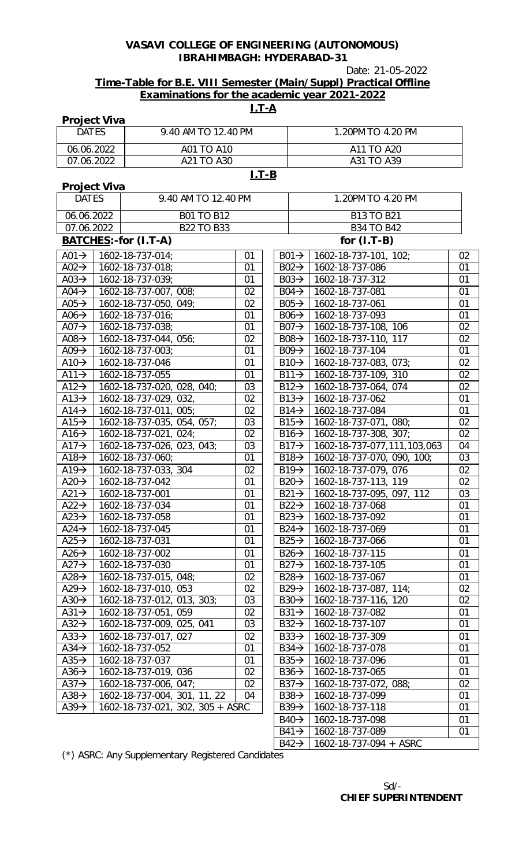Date: 21-05-2022

## **Time-Table for B.E. VIII Semester (Main/Suppl) Practical Offline Examinations for the academic year 2021-2022**

## **I.T-A**

| <b>DATES</b><br>9.40 AM TO 12.40 PM<br>1.20PM TO 4.20 PM<br>06.06.2022<br>A01 TO A10<br>A11 TO A20<br>A21 TO A30<br>A31 TO A39<br>07.06.2022<br>$I.T-B$<br><b>Project Viva</b><br>9.40 AM TO 12.40 PM<br><b>DATES</b><br>1.20PM TO 4.20 PM<br>06.06.2022<br><b>B01 TO B12</b><br><b>B13 TO B21</b><br>07.06.2022<br><b>B22 TO B33</b><br><b>B34 TO B42</b><br>BATCHES:-for (I.T-A)<br>for $(I.T-B)$<br>A01 $\rightarrow$   1602-18-737-014;<br>01<br>$B01 \rightarrow$<br>$1602 - 18 - 737 - 101, 102;$<br>02<br>A02 $\rightarrow$<br>1602-18-737-018;<br>1602-18-737-086<br>01<br>01<br>$B02 \rightarrow$<br>1602-18-737-039;<br>1602-18-737-312<br>$A03 \rightarrow$<br>01<br>$B03 \rightarrow$<br>01<br>1602-18-737-081<br>01<br>A04 $\rightarrow$<br>1602-18-737-007, 008;<br>02<br>$\overline{B04}$<br>A05 $\rightarrow$<br>1602-18-737-050, 049;<br>1602-18-737-061<br>01<br>02<br>$B05 \rightarrow$<br>A06 $\rightarrow$<br>1602-18-737-016;<br>01<br>1602-18-737-093<br>01<br>$B06 \rightarrow$<br>02<br>A07 $\rightarrow$<br>1602-18-737-038;<br>01<br>$B07 \rightarrow 1602 - 18 - 737 - 108$ , 106<br>A08 $\rightarrow$<br>02<br>$B08 \rightarrow$<br>1602-18-737-110, 117<br>02<br>1602-18-737-044, 056;<br>A09 $\rightarrow$<br>1602-18-737-003;<br>01<br>$B09 \rightarrow$<br>1602-18-737-104<br>01<br>A10 $\rightarrow$<br>1602-18-737-046<br>$B10 \rightarrow$<br>1602-18-737-083, 073;<br>02<br>01<br>$A11 \rightarrow$<br>1602-18-737-109, 310<br>02<br>1602-18-737-055<br>01<br>$B11 \rightarrow$<br>02<br>A12 $\rightarrow$<br>1602-18-737-020, 028, 040;<br>03<br>$B12 \rightarrow 1602 - 18 - 737 - 064$ , 074<br>02<br>A13 $\rightarrow$<br>1602-18-737-029, 032,<br>$B13 \rightarrow$<br>1602-18-737-062<br>01<br>01<br>$A14 \rightarrow$<br>1602-18-737-011, 005;<br>02<br>1602-18-737-084<br>$B14 \rightarrow$<br>1602-18-737-071, 080;<br>02<br>A15 $\rightarrow$<br>1602-18-737-035, 054, 057;<br>03<br>$B15 \rightarrow$<br>02<br>A16 $\rightarrow$<br>1602-18-737-021, 024;<br>02<br>$B16 \rightarrow$<br>1602-18-737-308, 307;<br>A17 $\rightarrow$<br>1602-18-737-026, 023, 043;<br>03<br>$B17 \rightarrow$<br>1602-18-737-077,111,103,063<br>04<br>03<br>A18 $\rightarrow$<br>1602-18-737-060;<br>01<br>$B18 \rightarrow$<br>1602-18-737-070, 090, 100;<br>$B19 \rightarrow$<br>1602-18-737-079, 076<br>02<br>A19 $\rightarrow$<br>1602-18-737-033, 304<br>02<br>A20 $\rightarrow$<br>1602-18-737-042<br>$B20 \rightarrow 1602 - 18 - 737 - 113, 119$<br>02<br>01<br>A21 $\rightarrow$<br>01<br>$B21 \rightarrow$<br>1602-18-737-095, 097, 112<br>03<br>1602-18-737-001<br>A22 $\rightarrow$<br>1602-18-737-034<br>01<br>$B22 \rightarrow 1602 - 18 - 737 - 068$<br>01<br>A23 $\rightarrow$<br>1602-18-737-092<br>01<br>1602-18-737-058<br>01<br>$B23\rightarrow$<br>$A24 \rightarrow$<br>01<br>1602-18-737-045<br>01<br>$B24 \rightarrow$<br>1602-18-737-069<br>A25 $\rightarrow$<br>1602-18-737-031<br>01<br>$B25 \rightarrow$<br>1602-18-737-066<br>01<br>A26 $\rightarrow$<br>1602-18-737-002<br>$B26 \rightarrow$<br>1602-18-737-115<br>01<br>01<br>A27 $\rightarrow$<br>1602-18-737-030<br>01<br>$B27 \rightarrow$<br>1602-18-737-105<br>01<br>02<br>$B28 \rightarrow$<br>1602-18-737-067<br>01<br>A28 $\rightarrow$<br>1602-18-737-015, 048;<br>A29 $\rightarrow$<br>1602-18-737-010, 053<br>02<br>$B29 \rightarrow$<br>1602-18-737-087, 114;<br>02<br>A30 $\rightarrow$<br>1602-18-737-012, 013, 303;<br>03<br>$B30 \rightarrow$<br>02<br>1602-18-737-116, 120<br>$A31 \rightarrow$<br>1602-18-737-051, 059<br>02<br>$B31 \rightarrow$<br>1602-18-737-082<br>01<br>1602-18-737-009, 025, 041<br>1602-18-737-107<br>A32 $\rightarrow$<br>03<br>$B32 \rightarrow$<br>01<br>1602-18-737-017, 027<br>1602-18-737-309<br>A33 $\rightarrow$<br>02<br>$B33\rightarrow$<br>01<br>01<br>$A34 \rightarrow$<br>1602-18-737-052<br>01<br>$B34 \rightarrow$<br>1602-18-737-078<br>1602-18-737-037<br>A35 $\rightarrow$<br>01<br>$B35 \rightarrow$<br>1602-18-737-096<br>01<br>A36 $\rightarrow$<br>02<br>1602-18-737-065<br>01<br>1602-18-737-019, 036<br>$B36 \rightarrow$<br>$A37 \rightarrow$<br>1602-18-737-006, 047;<br>02<br>02<br>$B37 \rightarrow$<br>1602-18-737-072, 088;<br>1602-18-737-004, 301, 11, 22<br>A38 $\rightarrow$<br>04<br>$B38 \rightarrow$<br>1602-18-737-099<br>01<br>$A39 \rightarrow$<br>1602-18-737-021, 302, 305 + ASRC<br>01<br>$B39 \rightarrow$<br>1602-18-737-118 | <b>Project Viva</b> |  |  |  |                   |                 |    |
|---------------------------------------------------------------------------------------------------------------------------------------------------------------------------------------------------------------------------------------------------------------------------------------------------------------------------------------------------------------------------------------------------------------------------------------------------------------------------------------------------------------------------------------------------------------------------------------------------------------------------------------------------------------------------------------------------------------------------------------------------------------------------------------------------------------------------------------------------------------------------------------------------------------------------------------------------------------------------------------------------------------------------------------------------------------------------------------------------------------------------------------------------------------------------------------------------------------------------------------------------------------------------------------------------------------------------------------------------------------------------------------------------------------------------------------------------------------------------------------------------------------------------------------------------------------------------------------------------------------------------------------------------------------------------------------------------------------------------------------------------------------------------------------------------------------------------------------------------------------------------------------------------------------------------------------------------------------------------------------------------------------------------------------------------------------------------------------------------------------------------------------------------------------------------------------------------------------------------------------------------------------------------------------------------------------------------------------------------------------------------------------------------------------------------------------------------------------------------------------------------------------------------------------------------------------------------------------------------------------------------------------------------------------------------------------------------------------------------------------------------------------------------------------------------------------------------------------------------------------------------------------------------------------------------------------------------------------------------------------------------------------------------------------------------------------------------------------------------------------------------------------------------------------------------------------------------------------------------------------------------------------------------------------------------------------------------------------------------------------------------------------------------------------------------------------------------------------------------------------------------------------------------------------------------------------------------------------------------------------------------------------------------------------------------------------------------------------------------------------------------------------------------------------------------------------------------------------------------------------------------------------------------------------------------------------------------------------------------------------------------------------------------------------------------------------------------------------------------------------------------------------------------------------------------------------------------------------------------------------------------------------------------------------------------------------------------------------------------------------------------------------------------------------------------------|---------------------|--|--|--|-------------------|-----------------|----|
|                                                                                                                                                                                                                                                                                                                                                                                                                                                                                                                                                                                                                                                                                                                                                                                                                                                                                                                                                                                                                                                                                                                                                                                                                                                                                                                                                                                                                                                                                                                                                                                                                                                                                                                                                                                                                                                                                                                                                                                                                                                                                                                                                                                                                                                                                                                                                                                                                                                                                                                                                                                                                                                                                                                                                                                                                                                                                                                                                                                                                                                                                                                                                                                                                                                                                                                                                                                                                                                                                                                                                                                                                                                                                                                                                                                                                                                                                                                                                                                                                                                                                                                                                                                                                                                                                                                                                                                                                                 |                     |  |  |  |                   |                 |    |
|                                                                                                                                                                                                                                                                                                                                                                                                                                                                                                                                                                                                                                                                                                                                                                                                                                                                                                                                                                                                                                                                                                                                                                                                                                                                                                                                                                                                                                                                                                                                                                                                                                                                                                                                                                                                                                                                                                                                                                                                                                                                                                                                                                                                                                                                                                                                                                                                                                                                                                                                                                                                                                                                                                                                                                                                                                                                                                                                                                                                                                                                                                                                                                                                                                                                                                                                                                                                                                                                                                                                                                                                                                                                                                                                                                                                                                                                                                                                                                                                                                                                                                                                                                                                                                                                                                                                                                                                                                 |                     |  |  |  |                   |                 |    |
|                                                                                                                                                                                                                                                                                                                                                                                                                                                                                                                                                                                                                                                                                                                                                                                                                                                                                                                                                                                                                                                                                                                                                                                                                                                                                                                                                                                                                                                                                                                                                                                                                                                                                                                                                                                                                                                                                                                                                                                                                                                                                                                                                                                                                                                                                                                                                                                                                                                                                                                                                                                                                                                                                                                                                                                                                                                                                                                                                                                                                                                                                                                                                                                                                                                                                                                                                                                                                                                                                                                                                                                                                                                                                                                                                                                                                                                                                                                                                                                                                                                                                                                                                                                                                                                                                                                                                                                                                                 |                     |  |  |  |                   |                 |    |
|                                                                                                                                                                                                                                                                                                                                                                                                                                                                                                                                                                                                                                                                                                                                                                                                                                                                                                                                                                                                                                                                                                                                                                                                                                                                                                                                                                                                                                                                                                                                                                                                                                                                                                                                                                                                                                                                                                                                                                                                                                                                                                                                                                                                                                                                                                                                                                                                                                                                                                                                                                                                                                                                                                                                                                                                                                                                                                                                                                                                                                                                                                                                                                                                                                                                                                                                                                                                                                                                                                                                                                                                                                                                                                                                                                                                                                                                                                                                                                                                                                                                                                                                                                                                                                                                                                                                                                                                                                 |                     |  |  |  |                   |                 |    |
|                                                                                                                                                                                                                                                                                                                                                                                                                                                                                                                                                                                                                                                                                                                                                                                                                                                                                                                                                                                                                                                                                                                                                                                                                                                                                                                                                                                                                                                                                                                                                                                                                                                                                                                                                                                                                                                                                                                                                                                                                                                                                                                                                                                                                                                                                                                                                                                                                                                                                                                                                                                                                                                                                                                                                                                                                                                                                                                                                                                                                                                                                                                                                                                                                                                                                                                                                                                                                                                                                                                                                                                                                                                                                                                                                                                                                                                                                                                                                                                                                                                                                                                                                                                                                                                                                                                                                                                                                                 |                     |  |  |  |                   |                 |    |
|                                                                                                                                                                                                                                                                                                                                                                                                                                                                                                                                                                                                                                                                                                                                                                                                                                                                                                                                                                                                                                                                                                                                                                                                                                                                                                                                                                                                                                                                                                                                                                                                                                                                                                                                                                                                                                                                                                                                                                                                                                                                                                                                                                                                                                                                                                                                                                                                                                                                                                                                                                                                                                                                                                                                                                                                                                                                                                                                                                                                                                                                                                                                                                                                                                                                                                                                                                                                                                                                                                                                                                                                                                                                                                                                                                                                                                                                                                                                                                                                                                                                                                                                                                                                                                                                                                                                                                                                                                 |                     |  |  |  |                   |                 |    |
|                                                                                                                                                                                                                                                                                                                                                                                                                                                                                                                                                                                                                                                                                                                                                                                                                                                                                                                                                                                                                                                                                                                                                                                                                                                                                                                                                                                                                                                                                                                                                                                                                                                                                                                                                                                                                                                                                                                                                                                                                                                                                                                                                                                                                                                                                                                                                                                                                                                                                                                                                                                                                                                                                                                                                                                                                                                                                                                                                                                                                                                                                                                                                                                                                                                                                                                                                                                                                                                                                                                                                                                                                                                                                                                                                                                                                                                                                                                                                                                                                                                                                                                                                                                                                                                                                                                                                                                                                                 |                     |  |  |  |                   |                 |    |
|                                                                                                                                                                                                                                                                                                                                                                                                                                                                                                                                                                                                                                                                                                                                                                                                                                                                                                                                                                                                                                                                                                                                                                                                                                                                                                                                                                                                                                                                                                                                                                                                                                                                                                                                                                                                                                                                                                                                                                                                                                                                                                                                                                                                                                                                                                                                                                                                                                                                                                                                                                                                                                                                                                                                                                                                                                                                                                                                                                                                                                                                                                                                                                                                                                                                                                                                                                                                                                                                                                                                                                                                                                                                                                                                                                                                                                                                                                                                                                                                                                                                                                                                                                                                                                                                                                                                                                                                                                 |                     |  |  |  |                   |                 |    |
|                                                                                                                                                                                                                                                                                                                                                                                                                                                                                                                                                                                                                                                                                                                                                                                                                                                                                                                                                                                                                                                                                                                                                                                                                                                                                                                                                                                                                                                                                                                                                                                                                                                                                                                                                                                                                                                                                                                                                                                                                                                                                                                                                                                                                                                                                                                                                                                                                                                                                                                                                                                                                                                                                                                                                                                                                                                                                                                                                                                                                                                                                                                                                                                                                                                                                                                                                                                                                                                                                                                                                                                                                                                                                                                                                                                                                                                                                                                                                                                                                                                                                                                                                                                                                                                                                                                                                                                                                                 |                     |  |  |  |                   |                 |    |
|                                                                                                                                                                                                                                                                                                                                                                                                                                                                                                                                                                                                                                                                                                                                                                                                                                                                                                                                                                                                                                                                                                                                                                                                                                                                                                                                                                                                                                                                                                                                                                                                                                                                                                                                                                                                                                                                                                                                                                                                                                                                                                                                                                                                                                                                                                                                                                                                                                                                                                                                                                                                                                                                                                                                                                                                                                                                                                                                                                                                                                                                                                                                                                                                                                                                                                                                                                                                                                                                                                                                                                                                                                                                                                                                                                                                                                                                                                                                                                                                                                                                                                                                                                                                                                                                                                                                                                                                                                 |                     |  |  |  |                   |                 |    |
|                                                                                                                                                                                                                                                                                                                                                                                                                                                                                                                                                                                                                                                                                                                                                                                                                                                                                                                                                                                                                                                                                                                                                                                                                                                                                                                                                                                                                                                                                                                                                                                                                                                                                                                                                                                                                                                                                                                                                                                                                                                                                                                                                                                                                                                                                                                                                                                                                                                                                                                                                                                                                                                                                                                                                                                                                                                                                                                                                                                                                                                                                                                                                                                                                                                                                                                                                                                                                                                                                                                                                                                                                                                                                                                                                                                                                                                                                                                                                                                                                                                                                                                                                                                                                                                                                                                                                                                                                                 |                     |  |  |  |                   |                 |    |
|                                                                                                                                                                                                                                                                                                                                                                                                                                                                                                                                                                                                                                                                                                                                                                                                                                                                                                                                                                                                                                                                                                                                                                                                                                                                                                                                                                                                                                                                                                                                                                                                                                                                                                                                                                                                                                                                                                                                                                                                                                                                                                                                                                                                                                                                                                                                                                                                                                                                                                                                                                                                                                                                                                                                                                                                                                                                                                                                                                                                                                                                                                                                                                                                                                                                                                                                                                                                                                                                                                                                                                                                                                                                                                                                                                                                                                                                                                                                                                                                                                                                                                                                                                                                                                                                                                                                                                                                                                 |                     |  |  |  |                   |                 |    |
|                                                                                                                                                                                                                                                                                                                                                                                                                                                                                                                                                                                                                                                                                                                                                                                                                                                                                                                                                                                                                                                                                                                                                                                                                                                                                                                                                                                                                                                                                                                                                                                                                                                                                                                                                                                                                                                                                                                                                                                                                                                                                                                                                                                                                                                                                                                                                                                                                                                                                                                                                                                                                                                                                                                                                                                                                                                                                                                                                                                                                                                                                                                                                                                                                                                                                                                                                                                                                                                                                                                                                                                                                                                                                                                                                                                                                                                                                                                                                                                                                                                                                                                                                                                                                                                                                                                                                                                                                                 |                     |  |  |  |                   |                 |    |
|                                                                                                                                                                                                                                                                                                                                                                                                                                                                                                                                                                                                                                                                                                                                                                                                                                                                                                                                                                                                                                                                                                                                                                                                                                                                                                                                                                                                                                                                                                                                                                                                                                                                                                                                                                                                                                                                                                                                                                                                                                                                                                                                                                                                                                                                                                                                                                                                                                                                                                                                                                                                                                                                                                                                                                                                                                                                                                                                                                                                                                                                                                                                                                                                                                                                                                                                                                                                                                                                                                                                                                                                                                                                                                                                                                                                                                                                                                                                                                                                                                                                                                                                                                                                                                                                                                                                                                                                                                 |                     |  |  |  |                   |                 |    |
|                                                                                                                                                                                                                                                                                                                                                                                                                                                                                                                                                                                                                                                                                                                                                                                                                                                                                                                                                                                                                                                                                                                                                                                                                                                                                                                                                                                                                                                                                                                                                                                                                                                                                                                                                                                                                                                                                                                                                                                                                                                                                                                                                                                                                                                                                                                                                                                                                                                                                                                                                                                                                                                                                                                                                                                                                                                                                                                                                                                                                                                                                                                                                                                                                                                                                                                                                                                                                                                                                                                                                                                                                                                                                                                                                                                                                                                                                                                                                                                                                                                                                                                                                                                                                                                                                                                                                                                                                                 |                     |  |  |  |                   |                 |    |
|                                                                                                                                                                                                                                                                                                                                                                                                                                                                                                                                                                                                                                                                                                                                                                                                                                                                                                                                                                                                                                                                                                                                                                                                                                                                                                                                                                                                                                                                                                                                                                                                                                                                                                                                                                                                                                                                                                                                                                                                                                                                                                                                                                                                                                                                                                                                                                                                                                                                                                                                                                                                                                                                                                                                                                                                                                                                                                                                                                                                                                                                                                                                                                                                                                                                                                                                                                                                                                                                                                                                                                                                                                                                                                                                                                                                                                                                                                                                                                                                                                                                                                                                                                                                                                                                                                                                                                                                                                 |                     |  |  |  |                   |                 |    |
|                                                                                                                                                                                                                                                                                                                                                                                                                                                                                                                                                                                                                                                                                                                                                                                                                                                                                                                                                                                                                                                                                                                                                                                                                                                                                                                                                                                                                                                                                                                                                                                                                                                                                                                                                                                                                                                                                                                                                                                                                                                                                                                                                                                                                                                                                                                                                                                                                                                                                                                                                                                                                                                                                                                                                                                                                                                                                                                                                                                                                                                                                                                                                                                                                                                                                                                                                                                                                                                                                                                                                                                                                                                                                                                                                                                                                                                                                                                                                                                                                                                                                                                                                                                                                                                                                                                                                                                                                                 |                     |  |  |  |                   |                 |    |
|                                                                                                                                                                                                                                                                                                                                                                                                                                                                                                                                                                                                                                                                                                                                                                                                                                                                                                                                                                                                                                                                                                                                                                                                                                                                                                                                                                                                                                                                                                                                                                                                                                                                                                                                                                                                                                                                                                                                                                                                                                                                                                                                                                                                                                                                                                                                                                                                                                                                                                                                                                                                                                                                                                                                                                                                                                                                                                                                                                                                                                                                                                                                                                                                                                                                                                                                                                                                                                                                                                                                                                                                                                                                                                                                                                                                                                                                                                                                                                                                                                                                                                                                                                                                                                                                                                                                                                                                                                 |                     |  |  |  |                   |                 |    |
|                                                                                                                                                                                                                                                                                                                                                                                                                                                                                                                                                                                                                                                                                                                                                                                                                                                                                                                                                                                                                                                                                                                                                                                                                                                                                                                                                                                                                                                                                                                                                                                                                                                                                                                                                                                                                                                                                                                                                                                                                                                                                                                                                                                                                                                                                                                                                                                                                                                                                                                                                                                                                                                                                                                                                                                                                                                                                                                                                                                                                                                                                                                                                                                                                                                                                                                                                                                                                                                                                                                                                                                                                                                                                                                                                                                                                                                                                                                                                                                                                                                                                                                                                                                                                                                                                                                                                                                                                                 |                     |  |  |  |                   |                 |    |
|                                                                                                                                                                                                                                                                                                                                                                                                                                                                                                                                                                                                                                                                                                                                                                                                                                                                                                                                                                                                                                                                                                                                                                                                                                                                                                                                                                                                                                                                                                                                                                                                                                                                                                                                                                                                                                                                                                                                                                                                                                                                                                                                                                                                                                                                                                                                                                                                                                                                                                                                                                                                                                                                                                                                                                                                                                                                                                                                                                                                                                                                                                                                                                                                                                                                                                                                                                                                                                                                                                                                                                                                                                                                                                                                                                                                                                                                                                                                                                                                                                                                                                                                                                                                                                                                                                                                                                                                                                 |                     |  |  |  |                   |                 |    |
|                                                                                                                                                                                                                                                                                                                                                                                                                                                                                                                                                                                                                                                                                                                                                                                                                                                                                                                                                                                                                                                                                                                                                                                                                                                                                                                                                                                                                                                                                                                                                                                                                                                                                                                                                                                                                                                                                                                                                                                                                                                                                                                                                                                                                                                                                                                                                                                                                                                                                                                                                                                                                                                                                                                                                                                                                                                                                                                                                                                                                                                                                                                                                                                                                                                                                                                                                                                                                                                                                                                                                                                                                                                                                                                                                                                                                                                                                                                                                                                                                                                                                                                                                                                                                                                                                                                                                                                                                                 |                     |  |  |  |                   |                 |    |
|                                                                                                                                                                                                                                                                                                                                                                                                                                                                                                                                                                                                                                                                                                                                                                                                                                                                                                                                                                                                                                                                                                                                                                                                                                                                                                                                                                                                                                                                                                                                                                                                                                                                                                                                                                                                                                                                                                                                                                                                                                                                                                                                                                                                                                                                                                                                                                                                                                                                                                                                                                                                                                                                                                                                                                                                                                                                                                                                                                                                                                                                                                                                                                                                                                                                                                                                                                                                                                                                                                                                                                                                                                                                                                                                                                                                                                                                                                                                                                                                                                                                                                                                                                                                                                                                                                                                                                                                                                 |                     |  |  |  |                   |                 |    |
|                                                                                                                                                                                                                                                                                                                                                                                                                                                                                                                                                                                                                                                                                                                                                                                                                                                                                                                                                                                                                                                                                                                                                                                                                                                                                                                                                                                                                                                                                                                                                                                                                                                                                                                                                                                                                                                                                                                                                                                                                                                                                                                                                                                                                                                                                                                                                                                                                                                                                                                                                                                                                                                                                                                                                                                                                                                                                                                                                                                                                                                                                                                                                                                                                                                                                                                                                                                                                                                                                                                                                                                                                                                                                                                                                                                                                                                                                                                                                                                                                                                                                                                                                                                                                                                                                                                                                                                                                                 |                     |  |  |  |                   |                 |    |
|                                                                                                                                                                                                                                                                                                                                                                                                                                                                                                                                                                                                                                                                                                                                                                                                                                                                                                                                                                                                                                                                                                                                                                                                                                                                                                                                                                                                                                                                                                                                                                                                                                                                                                                                                                                                                                                                                                                                                                                                                                                                                                                                                                                                                                                                                                                                                                                                                                                                                                                                                                                                                                                                                                                                                                                                                                                                                                                                                                                                                                                                                                                                                                                                                                                                                                                                                                                                                                                                                                                                                                                                                                                                                                                                                                                                                                                                                                                                                                                                                                                                                                                                                                                                                                                                                                                                                                                                                                 |                     |  |  |  |                   |                 |    |
|                                                                                                                                                                                                                                                                                                                                                                                                                                                                                                                                                                                                                                                                                                                                                                                                                                                                                                                                                                                                                                                                                                                                                                                                                                                                                                                                                                                                                                                                                                                                                                                                                                                                                                                                                                                                                                                                                                                                                                                                                                                                                                                                                                                                                                                                                                                                                                                                                                                                                                                                                                                                                                                                                                                                                                                                                                                                                                                                                                                                                                                                                                                                                                                                                                                                                                                                                                                                                                                                                                                                                                                                                                                                                                                                                                                                                                                                                                                                                                                                                                                                                                                                                                                                                                                                                                                                                                                                                                 |                     |  |  |  |                   |                 |    |
|                                                                                                                                                                                                                                                                                                                                                                                                                                                                                                                                                                                                                                                                                                                                                                                                                                                                                                                                                                                                                                                                                                                                                                                                                                                                                                                                                                                                                                                                                                                                                                                                                                                                                                                                                                                                                                                                                                                                                                                                                                                                                                                                                                                                                                                                                                                                                                                                                                                                                                                                                                                                                                                                                                                                                                                                                                                                                                                                                                                                                                                                                                                                                                                                                                                                                                                                                                                                                                                                                                                                                                                                                                                                                                                                                                                                                                                                                                                                                                                                                                                                                                                                                                                                                                                                                                                                                                                                                                 |                     |  |  |  |                   |                 |    |
|                                                                                                                                                                                                                                                                                                                                                                                                                                                                                                                                                                                                                                                                                                                                                                                                                                                                                                                                                                                                                                                                                                                                                                                                                                                                                                                                                                                                                                                                                                                                                                                                                                                                                                                                                                                                                                                                                                                                                                                                                                                                                                                                                                                                                                                                                                                                                                                                                                                                                                                                                                                                                                                                                                                                                                                                                                                                                                                                                                                                                                                                                                                                                                                                                                                                                                                                                                                                                                                                                                                                                                                                                                                                                                                                                                                                                                                                                                                                                                                                                                                                                                                                                                                                                                                                                                                                                                                                                                 |                     |  |  |  |                   |                 |    |
|                                                                                                                                                                                                                                                                                                                                                                                                                                                                                                                                                                                                                                                                                                                                                                                                                                                                                                                                                                                                                                                                                                                                                                                                                                                                                                                                                                                                                                                                                                                                                                                                                                                                                                                                                                                                                                                                                                                                                                                                                                                                                                                                                                                                                                                                                                                                                                                                                                                                                                                                                                                                                                                                                                                                                                                                                                                                                                                                                                                                                                                                                                                                                                                                                                                                                                                                                                                                                                                                                                                                                                                                                                                                                                                                                                                                                                                                                                                                                                                                                                                                                                                                                                                                                                                                                                                                                                                                                                 |                     |  |  |  |                   |                 |    |
|                                                                                                                                                                                                                                                                                                                                                                                                                                                                                                                                                                                                                                                                                                                                                                                                                                                                                                                                                                                                                                                                                                                                                                                                                                                                                                                                                                                                                                                                                                                                                                                                                                                                                                                                                                                                                                                                                                                                                                                                                                                                                                                                                                                                                                                                                                                                                                                                                                                                                                                                                                                                                                                                                                                                                                                                                                                                                                                                                                                                                                                                                                                                                                                                                                                                                                                                                                                                                                                                                                                                                                                                                                                                                                                                                                                                                                                                                                                                                                                                                                                                                                                                                                                                                                                                                                                                                                                                                                 |                     |  |  |  |                   |                 |    |
|                                                                                                                                                                                                                                                                                                                                                                                                                                                                                                                                                                                                                                                                                                                                                                                                                                                                                                                                                                                                                                                                                                                                                                                                                                                                                                                                                                                                                                                                                                                                                                                                                                                                                                                                                                                                                                                                                                                                                                                                                                                                                                                                                                                                                                                                                                                                                                                                                                                                                                                                                                                                                                                                                                                                                                                                                                                                                                                                                                                                                                                                                                                                                                                                                                                                                                                                                                                                                                                                                                                                                                                                                                                                                                                                                                                                                                                                                                                                                                                                                                                                                                                                                                                                                                                                                                                                                                                                                                 |                     |  |  |  |                   |                 |    |
|                                                                                                                                                                                                                                                                                                                                                                                                                                                                                                                                                                                                                                                                                                                                                                                                                                                                                                                                                                                                                                                                                                                                                                                                                                                                                                                                                                                                                                                                                                                                                                                                                                                                                                                                                                                                                                                                                                                                                                                                                                                                                                                                                                                                                                                                                                                                                                                                                                                                                                                                                                                                                                                                                                                                                                                                                                                                                                                                                                                                                                                                                                                                                                                                                                                                                                                                                                                                                                                                                                                                                                                                                                                                                                                                                                                                                                                                                                                                                                                                                                                                                                                                                                                                                                                                                                                                                                                                                                 |                     |  |  |  |                   |                 |    |
|                                                                                                                                                                                                                                                                                                                                                                                                                                                                                                                                                                                                                                                                                                                                                                                                                                                                                                                                                                                                                                                                                                                                                                                                                                                                                                                                                                                                                                                                                                                                                                                                                                                                                                                                                                                                                                                                                                                                                                                                                                                                                                                                                                                                                                                                                                                                                                                                                                                                                                                                                                                                                                                                                                                                                                                                                                                                                                                                                                                                                                                                                                                                                                                                                                                                                                                                                                                                                                                                                                                                                                                                                                                                                                                                                                                                                                                                                                                                                                                                                                                                                                                                                                                                                                                                                                                                                                                                                                 |                     |  |  |  |                   |                 |    |
|                                                                                                                                                                                                                                                                                                                                                                                                                                                                                                                                                                                                                                                                                                                                                                                                                                                                                                                                                                                                                                                                                                                                                                                                                                                                                                                                                                                                                                                                                                                                                                                                                                                                                                                                                                                                                                                                                                                                                                                                                                                                                                                                                                                                                                                                                                                                                                                                                                                                                                                                                                                                                                                                                                                                                                                                                                                                                                                                                                                                                                                                                                                                                                                                                                                                                                                                                                                                                                                                                                                                                                                                                                                                                                                                                                                                                                                                                                                                                                                                                                                                                                                                                                                                                                                                                                                                                                                                                                 |                     |  |  |  |                   |                 |    |
|                                                                                                                                                                                                                                                                                                                                                                                                                                                                                                                                                                                                                                                                                                                                                                                                                                                                                                                                                                                                                                                                                                                                                                                                                                                                                                                                                                                                                                                                                                                                                                                                                                                                                                                                                                                                                                                                                                                                                                                                                                                                                                                                                                                                                                                                                                                                                                                                                                                                                                                                                                                                                                                                                                                                                                                                                                                                                                                                                                                                                                                                                                                                                                                                                                                                                                                                                                                                                                                                                                                                                                                                                                                                                                                                                                                                                                                                                                                                                                                                                                                                                                                                                                                                                                                                                                                                                                                                                                 |                     |  |  |  |                   |                 |    |
|                                                                                                                                                                                                                                                                                                                                                                                                                                                                                                                                                                                                                                                                                                                                                                                                                                                                                                                                                                                                                                                                                                                                                                                                                                                                                                                                                                                                                                                                                                                                                                                                                                                                                                                                                                                                                                                                                                                                                                                                                                                                                                                                                                                                                                                                                                                                                                                                                                                                                                                                                                                                                                                                                                                                                                                                                                                                                                                                                                                                                                                                                                                                                                                                                                                                                                                                                                                                                                                                                                                                                                                                                                                                                                                                                                                                                                                                                                                                                                                                                                                                                                                                                                                                                                                                                                                                                                                                                                 |                     |  |  |  |                   |                 |    |
|                                                                                                                                                                                                                                                                                                                                                                                                                                                                                                                                                                                                                                                                                                                                                                                                                                                                                                                                                                                                                                                                                                                                                                                                                                                                                                                                                                                                                                                                                                                                                                                                                                                                                                                                                                                                                                                                                                                                                                                                                                                                                                                                                                                                                                                                                                                                                                                                                                                                                                                                                                                                                                                                                                                                                                                                                                                                                                                                                                                                                                                                                                                                                                                                                                                                                                                                                                                                                                                                                                                                                                                                                                                                                                                                                                                                                                                                                                                                                                                                                                                                                                                                                                                                                                                                                                                                                                                                                                 |                     |  |  |  |                   |                 |    |
|                                                                                                                                                                                                                                                                                                                                                                                                                                                                                                                                                                                                                                                                                                                                                                                                                                                                                                                                                                                                                                                                                                                                                                                                                                                                                                                                                                                                                                                                                                                                                                                                                                                                                                                                                                                                                                                                                                                                                                                                                                                                                                                                                                                                                                                                                                                                                                                                                                                                                                                                                                                                                                                                                                                                                                                                                                                                                                                                                                                                                                                                                                                                                                                                                                                                                                                                                                                                                                                                                                                                                                                                                                                                                                                                                                                                                                                                                                                                                                                                                                                                                                                                                                                                                                                                                                                                                                                                                                 |                     |  |  |  |                   |                 |    |
|                                                                                                                                                                                                                                                                                                                                                                                                                                                                                                                                                                                                                                                                                                                                                                                                                                                                                                                                                                                                                                                                                                                                                                                                                                                                                                                                                                                                                                                                                                                                                                                                                                                                                                                                                                                                                                                                                                                                                                                                                                                                                                                                                                                                                                                                                                                                                                                                                                                                                                                                                                                                                                                                                                                                                                                                                                                                                                                                                                                                                                                                                                                                                                                                                                                                                                                                                                                                                                                                                                                                                                                                                                                                                                                                                                                                                                                                                                                                                                                                                                                                                                                                                                                                                                                                                                                                                                                                                                 |                     |  |  |  |                   |                 |    |
|                                                                                                                                                                                                                                                                                                                                                                                                                                                                                                                                                                                                                                                                                                                                                                                                                                                                                                                                                                                                                                                                                                                                                                                                                                                                                                                                                                                                                                                                                                                                                                                                                                                                                                                                                                                                                                                                                                                                                                                                                                                                                                                                                                                                                                                                                                                                                                                                                                                                                                                                                                                                                                                                                                                                                                                                                                                                                                                                                                                                                                                                                                                                                                                                                                                                                                                                                                                                                                                                                                                                                                                                                                                                                                                                                                                                                                                                                                                                                                                                                                                                                                                                                                                                                                                                                                                                                                                                                                 |                     |  |  |  |                   |                 |    |
|                                                                                                                                                                                                                                                                                                                                                                                                                                                                                                                                                                                                                                                                                                                                                                                                                                                                                                                                                                                                                                                                                                                                                                                                                                                                                                                                                                                                                                                                                                                                                                                                                                                                                                                                                                                                                                                                                                                                                                                                                                                                                                                                                                                                                                                                                                                                                                                                                                                                                                                                                                                                                                                                                                                                                                                                                                                                                                                                                                                                                                                                                                                                                                                                                                                                                                                                                                                                                                                                                                                                                                                                                                                                                                                                                                                                                                                                                                                                                                                                                                                                                                                                                                                                                                                                                                                                                                                                                                 |                     |  |  |  |                   |                 |    |
|                                                                                                                                                                                                                                                                                                                                                                                                                                                                                                                                                                                                                                                                                                                                                                                                                                                                                                                                                                                                                                                                                                                                                                                                                                                                                                                                                                                                                                                                                                                                                                                                                                                                                                                                                                                                                                                                                                                                                                                                                                                                                                                                                                                                                                                                                                                                                                                                                                                                                                                                                                                                                                                                                                                                                                                                                                                                                                                                                                                                                                                                                                                                                                                                                                                                                                                                                                                                                                                                                                                                                                                                                                                                                                                                                                                                                                                                                                                                                                                                                                                                                                                                                                                                                                                                                                                                                                                                                                 |                     |  |  |  |                   |                 |    |
|                                                                                                                                                                                                                                                                                                                                                                                                                                                                                                                                                                                                                                                                                                                                                                                                                                                                                                                                                                                                                                                                                                                                                                                                                                                                                                                                                                                                                                                                                                                                                                                                                                                                                                                                                                                                                                                                                                                                                                                                                                                                                                                                                                                                                                                                                                                                                                                                                                                                                                                                                                                                                                                                                                                                                                                                                                                                                                                                                                                                                                                                                                                                                                                                                                                                                                                                                                                                                                                                                                                                                                                                                                                                                                                                                                                                                                                                                                                                                                                                                                                                                                                                                                                                                                                                                                                                                                                                                                 |                     |  |  |  |                   |                 |    |
|                                                                                                                                                                                                                                                                                                                                                                                                                                                                                                                                                                                                                                                                                                                                                                                                                                                                                                                                                                                                                                                                                                                                                                                                                                                                                                                                                                                                                                                                                                                                                                                                                                                                                                                                                                                                                                                                                                                                                                                                                                                                                                                                                                                                                                                                                                                                                                                                                                                                                                                                                                                                                                                                                                                                                                                                                                                                                                                                                                                                                                                                                                                                                                                                                                                                                                                                                                                                                                                                                                                                                                                                                                                                                                                                                                                                                                                                                                                                                                                                                                                                                                                                                                                                                                                                                                                                                                                                                                 |                     |  |  |  |                   |                 |    |
|                                                                                                                                                                                                                                                                                                                                                                                                                                                                                                                                                                                                                                                                                                                                                                                                                                                                                                                                                                                                                                                                                                                                                                                                                                                                                                                                                                                                                                                                                                                                                                                                                                                                                                                                                                                                                                                                                                                                                                                                                                                                                                                                                                                                                                                                                                                                                                                                                                                                                                                                                                                                                                                                                                                                                                                                                                                                                                                                                                                                                                                                                                                                                                                                                                                                                                                                                                                                                                                                                                                                                                                                                                                                                                                                                                                                                                                                                                                                                                                                                                                                                                                                                                                                                                                                                                                                                                                                                                 |                     |  |  |  |                   |                 |    |
|                                                                                                                                                                                                                                                                                                                                                                                                                                                                                                                                                                                                                                                                                                                                                                                                                                                                                                                                                                                                                                                                                                                                                                                                                                                                                                                                                                                                                                                                                                                                                                                                                                                                                                                                                                                                                                                                                                                                                                                                                                                                                                                                                                                                                                                                                                                                                                                                                                                                                                                                                                                                                                                                                                                                                                                                                                                                                                                                                                                                                                                                                                                                                                                                                                                                                                                                                                                                                                                                                                                                                                                                                                                                                                                                                                                                                                                                                                                                                                                                                                                                                                                                                                                                                                                                                                                                                                                                                                 |                     |  |  |  |                   |                 |    |
|                                                                                                                                                                                                                                                                                                                                                                                                                                                                                                                                                                                                                                                                                                                                                                                                                                                                                                                                                                                                                                                                                                                                                                                                                                                                                                                                                                                                                                                                                                                                                                                                                                                                                                                                                                                                                                                                                                                                                                                                                                                                                                                                                                                                                                                                                                                                                                                                                                                                                                                                                                                                                                                                                                                                                                                                                                                                                                                                                                                                                                                                                                                                                                                                                                                                                                                                                                                                                                                                                                                                                                                                                                                                                                                                                                                                                                                                                                                                                                                                                                                                                                                                                                                                                                                                                                                                                                                                                                 |                     |  |  |  |                   |                 |    |
|                                                                                                                                                                                                                                                                                                                                                                                                                                                                                                                                                                                                                                                                                                                                                                                                                                                                                                                                                                                                                                                                                                                                                                                                                                                                                                                                                                                                                                                                                                                                                                                                                                                                                                                                                                                                                                                                                                                                                                                                                                                                                                                                                                                                                                                                                                                                                                                                                                                                                                                                                                                                                                                                                                                                                                                                                                                                                                                                                                                                                                                                                                                                                                                                                                                                                                                                                                                                                                                                                                                                                                                                                                                                                                                                                                                                                                                                                                                                                                                                                                                                                                                                                                                                                                                                                                                                                                                                                                 |                     |  |  |  |                   |                 |    |
|                                                                                                                                                                                                                                                                                                                                                                                                                                                                                                                                                                                                                                                                                                                                                                                                                                                                                                                                                                                                                                                                                                                                                                                                                                                                                                                                                                                                                                                                                                                                                                                                                                                                                                                                                                                                                                                                                                                                                                                                                                                                                                                                                                                                                                                                                                                                                                                                                                                                                                                                                                                                                                                                                                                                                                                                                                                                                                                                                                                                                                                                                                                                                                                                                                                                                                                                                                                                                                                                                                                                                                                                                                                                                                                                                                                                                                                                                                                                                                                                                                                                                                                                                                                                                                                                                                                                                                                                                                 |                     |  |  |  | $B40 \rightarrow$ | 1602-18-737-098 | 01 |

 $\sqrt{B42 \rightarrow 1602 - 18 - 737 - 094 + ASRC}$ (\*) ASRC: Any Supplementary Registered Candidates

> Sd/- **CHIEF SUPERINTENDENT**

 $B41 \rightarrow 1602 - 18 - 737 - 089$  01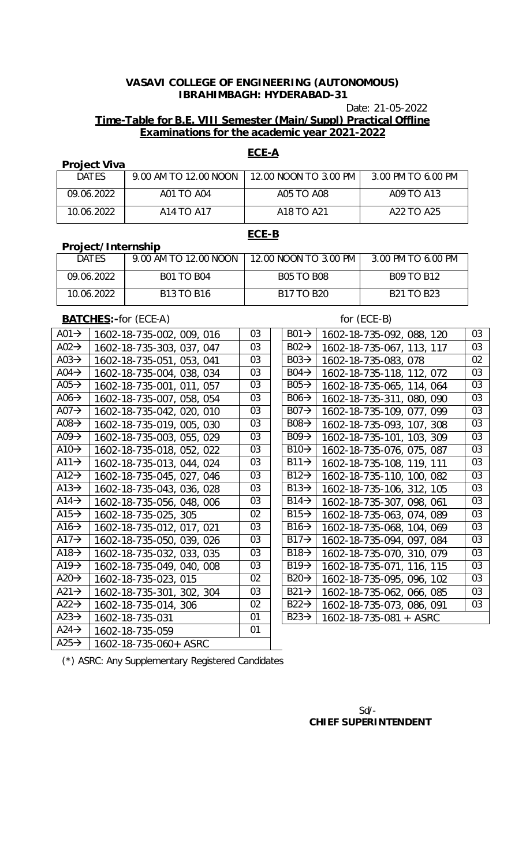Date: 21-05-2022

## **Time-Table for B.E. VIII Semester (Main/Suppl) Practical Offline Examinations for the academic year 2021-2022**

### **ECE-A**

## **Project Viva**

| <b>DATES</b> | 9.00 AM TO 12.00 NOON | 12.00 NOON TO 3.00 PM | 3.00 PM TO 6.00 PM                 |
|--------------|-----------------------|-----------------------|------------------------------------|
| 09.06.2022   | A01 TO A04            | A05 TO A08            | A09 TO A13                         |
| 10.06.2022   | A14 TO A17            | A18 TO A21            | A <sub>22</sub> TO A <sub>25</sub> |

## **ECE-B**

| <b>DATES</b> | 9.00 AM TO 12.00 NOON   12.00 NOON TO 3.00 PM |                   | 3.00 PM TO 6.00 PM |
|--------------|-----------------------------------------------|-------------------|--------------------|
| 09.06.2022   | <b>B01 TO B04</b>                             | <b>B05 TO B08</b> | <b>B09 TO B12</b>  |
| 10.06.2022   | <b>B13 TO B16</b>                             | <b>B17 TO B20</b> | <b>B21 TO B23</b>  |

**BATCHES:**-for (ECE-A) for (ECE-B)

**Project/Internship**

| A01 $\rightarrow$ | 1602-18-735-002, 009, 016 | 03 | $B01 \rightarrow$ | 1602-18-735-092, 088, 120 | 03              |
|-------------------|---------------------------|----|-------------------|---------------------------|-----------------|
| A02 $\rightarrow$ | 1602-18-735-303, 037, 047 | 03 | $B02 \rightarrow$ | 1602-18-735-067, 113, 117 | 03              |
| A03 $\rightarrow$ | 1602-18-735-051, 053, 041 | 03 | $B03 \rightarrow$ | 1602-18-735-083, 078      | 02              |
| A04 $\rightarrow$ | 1602-18-735-004, 038, 034 | 03 | $B04 \rightarrow$ | 1602-18-735-118, 112, 072 | 03              |
| A05 $\rightarrow$ | 1602-18-735-001, 011, 057 | 03 | $B05 \rightarrow$ | 1602-18-735-065, 114, 064 | $\overline{03}$ |
| A06 $\rightarrow$ | 1602-18-735-007, 058, 054 | 03 | $B06 \rightarrow$ | 1602-18-735-311, 080, 090 | $\overline{03}$ |
| A07 $\rightarrow$ | 1602-18-735-042, 020, 010 | 03 | $B07 \rightarrow$ | 1602-18-735-109, 077, 099 | $\overline{03}$ |
| A08 $\rightarrow$ | 1602-18-735-019, 005, 030 | 03 | $B08 \rightarrow$ | 1602-18-735-093, 107, 308 | $\overline{03}$ |
| A09 $\rightarrow$ | 1602-18-735-003, 055, 029 | 03 | $B09 \rightarrow$ | 1602-18-735-101, 103, 309 | 03              |
| A10 $\rightarrow$ | 1602-18-735-018, 052, 022 | 03 | $B10 \rightarrow$ | 1602-18-735-076, 075, 087 | $\overline{03}$ |
| A11 $\rightarrow$ | 1602-18-735-013, 044, 024 | 03 | $B11 \rightarrow$ | 1602-18-735-108, 119, 111 | $\overline{03}$ |
| A12 $\rightarrow$ | 1602-18-735-045, 027, 046 | 03 | $B12 \rightarrow$ | 1602-18-735-110, 100, 082 | $\overline{03}$ |
| A13 $\rightarrow$ | 1602-18-735-043, 036, 028 | 03 | $B13 \rightarrow$ | 1602-18-735-106, 312, 105 | $\overline{03}$ |
| A14 $\rightarrow$ | 1602-18-735-056, 048, 006 | 03 | $B14 \rightarrow$ | 1602-18-735-307, 098, 061 | 03              |
| A15 $\rightarrow$ | 1602-18-735-025, 305      | 02 | $B15\rightarrow$  | 1602-18-735-063, 074, 089 | $\overline{03}$ |
| A16 $\rightarrow$ | 1602-18-735-012, 017, 021 | 03 | $B16 \rightarrow$ | 1602-18-735-068, 104, 069 | $\overline{03}$ |
| A17 $\rightarrow$ | 1602-18-735-050, 039, 026 | 03 | $B17 \rightarrow$ | 1602-18-735-094, 097, 084 | $\overline{03}$ |
| A18 $\rightarrow$ | 1602-18-735-032, 033, 035 | 03 | $B18 \rightarrow$ | 1602-18-735-070, 310, 079 | 03              |
| A19 $\rightarrow$ | 1602-18-735-049, 040, 008 | 03 | $B19 \rightarrow$ | 1602-18-735-071, 116, 115 | 03              |
| A20 $\rightarrow$ | 1602-18-735-023, 015      | 02 | $B20 \rightarrow$ | 1602-18-735-095, 096, 102 | 03              |
| A21 $\rightarrow$ | 1602-18-735-301, 302, 304 | 03 | $B21 \rightarrow$ | 1602-18-735-062, 066, 085 | 03              |
| A22 $\rightarrow$ | 1602-18-735-014, 306      | 02 | $B22 \rightarrow$ | 1602-18-735-073, 086, 091 | 03              |
| A23 $\rightarrow$ | 1602-18-735-031           | 01 | $B23 \rightarrow$ | 1602-18-735-081 + ASRC    |                 |
| $A24 \rightarrow$ | 1602-18-735-059           | 01 |                   |                           |                 |
| $A25 \rightarrow$ | 1602-18-735-060+ ASRC     |    |                   |                           |                 |

(\*) ASRC: Any Supplementary Registered Candidates

## Sd/- **CHIEF SUPERINTENDENT**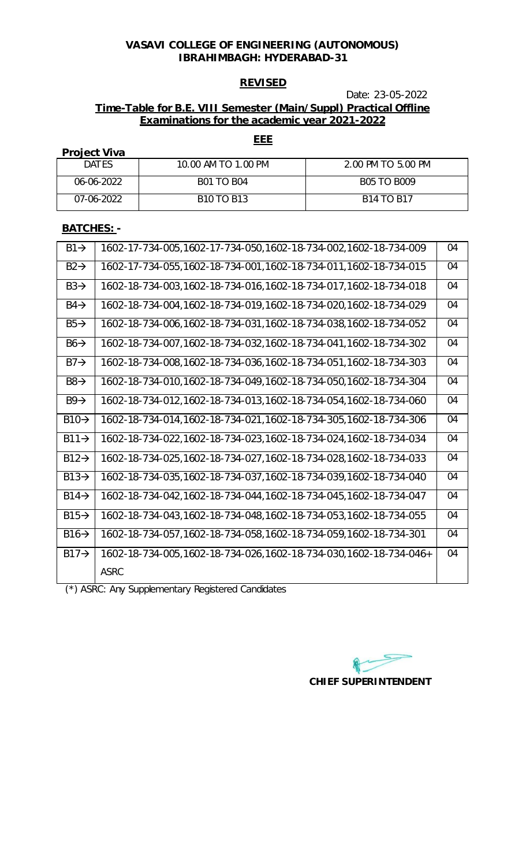# **REVISED**

# Date: 23-05-2022

## **Time-Table for B.E. VIII Semester (Main/Suppl) Practical Offline Examinations for the academic year 2021-2022**

### **Project Viva**

| <b>DATES</b> | 10.00 AM TO 1.00 PM | 2.00 PM TO 5.00 PM |
|--------------|---------------------|--------------------|
| 06-06-2022   | <b>B01 TO B04</b>   | <b>B05 TO B009</b> |
| 07-06-2022   | <b>B10 TO B13</b>   | <b>B14 TO B17</b>  |

## **BATCHES: -**

| $B1 \rightarrow$            | 1602-17-734-005,1602-17-734-050,1602-18-734-002,1602-18-734-009     | 04 |
|-----------------------------|---------------------------------------------------------------------|----|
| $B2 \rightarrow$            | 1602-17-734-055,1602-18-734-001,1602-18-734-011,1602-18-734-015     | 04 |
| $B3\rightarrow$             | 1602-18-734-003,1602-18-734-016,1602-18-734-017,1602-18-734-018     | 04 |
| $B4 \rightarrow$            | 1602-18-734-004, 1602-18-734-019, 1602-18-734-020, 1602-18-734-029  | 04 |
| $B5\rightarrow$             | 1602-18-734-006,1602-18-734-031,1602-18-734-038,1602-18-734-052     | 04 |
| $B6 \rightarrow$            | 1602-18-734-007, 1602-18-734-032, 1602-18-734-041, 1602-18-734-302  | 04 |
| $B7 \rightarrow$            | 1602-18-734-008, 1602-18-734-036, 1602-18-734-051, 1602-18-734-303  | 04 |
| $B8 \rightarrow$            | 1602-18-734-010, 1602-18-734-049, 1602-18-734-050, 1602-18-734-304  | 04 |
| $B9 \rightarrow$            | 1602-18-734-012, 1602-18-734-013, 1602-18-734-054, 1602-18-734-060  | 04 |
| $B10 \rightarrow$           | 1602-18-734-014, 1602-18-734-021, 1602-18-734-305, 1602-18-734-306  | 04 |
| $B11 \rightarrow$           | 1602-18-734-022,1602-18-734-023,1602-18-734-024,1602-18-734-034     | 04 |
| $B12 \rightarrow$           | 1602-18-734-025, 1602-18-734-027, 1602-18-734-028, 1602-18-734-033  | 04 |
| $\overline{B}13\rightarrow$ | 1602-18-734-035, 1602-18-734-037, 1602-18-734-039, 1602-18-734-040  | 04 |
| $B14 \rightarrow$           | 1602-18-734-042, 1602-18-734-044, 1602-18-734-045, 1602-18-734-047  | 04 |
| $B15 \rightarrow$           | 1602-18-734-043,1602-18-734-048,1602-18-734-053,1602-18-734-055     | 04 |
| $B16 \rightarrow$           | 1602-18-734-057, 1602-18-734-058, 1602-18-734-059, 1602-18-734-301  | 04 |
| $B17 \rightarrow$           | 1602-18-734-005, 1602-18-734-026, 1602-18-734-030, 1602-18-734-046+ | 04 |
|                             | <b>ASRC</b>                                                         |    |

(\*) ASRC: Any Supplementary Registered Candidates

**CHIEF SUPERINTENDENT** 

# **EEE**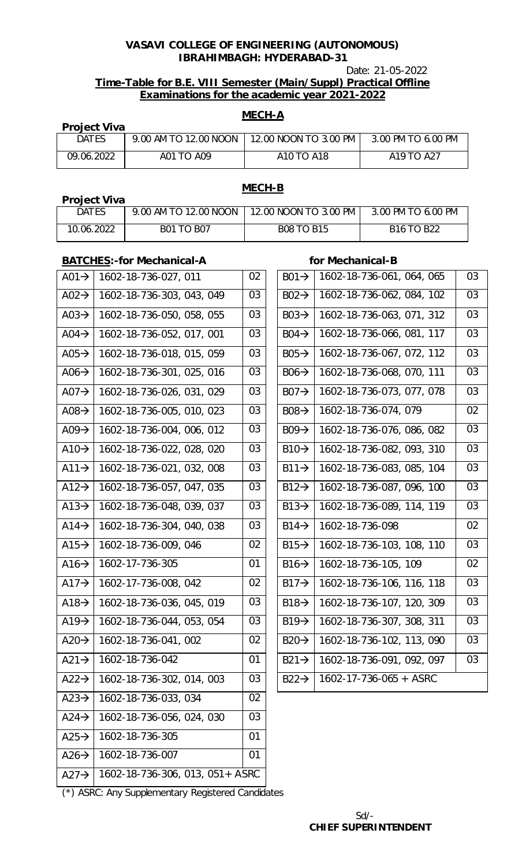Date: 21-05-2022

## **Time-Table for B.E. VIII Semester (Main/Suppl) Practical Offline Examinations for the academic year 2021-2022**

# **MECH-A**

| <b>Project Viva</b> |                       |                       |                                    |
|---------------------|-----------------------|-----------------------|------------------------------------|
| <b>DATES</b>        | 9.00 AM TO 12.00 NOON | 12.00 NOON TO 3.00 PM | 3.00 PM TO 6.00 PM                 |
| 09.06.2022          | A01 TO A09            | A10 TO A18            | A <sub>19</sub> TO A <sub>27</sub> |

## **Project Viva**

# **MECH-B**

| <b>DATES</b> | 9.00 AM TO 12.00 NOON | 12.00 NOON TO 3.00 PM | 3.00 PM TO 6.00 PM |
|--------------|-----------------------|-----------------------|--------------------|
| 10.06.2022   | <b>B01 TO B07</b>     | <b>B08 TO B15</b>     | <b>B16 TO B22</b>  |

## **BATCHES:**-for Mechanical-A **for Mechanical-B**

| $A01 \rightarrow$ | 1602-18-736-027, 011            | 02 | $B01 \rightarrow$ | 1602-18-736-061, 064, 065 | 03 |
|-------------------|---------------------------------|----|-------------------|---------------------------|----|
| A02 $\rightarrow$ | 1602-18-736-303, 043, 049       | 03 | $B02 \rightarrow$ | 1602-18-736-062, 084, 102 | 03 |
| A03 $\rightarrow$ | 1602-18-736-050, 058, 055       | 03 | $B03 \rightarrow$ | 1602-18-736-063, 071, 312 | 03 |
| A04 $\rightarrow$ | 1602-18-736-052, 017, 001       | 03 | $B04 \rightarrow$ | 1602-18-736-066, 081, 117 | 03 |
| $A05 \rightarrow$ | 1602-18-736-018, 015, 059       | 03 | $B05 \rightarrow$ | 1602-18-736-067, 072, 112 | 03 |
| A06 $\rightarrow$ | 1602-18-736-301, 025, 016       | 03 | $B06 \rightarrow$ | 1602-18-736-068, 070, 111 | 03 |
| A07 $\rightarrow$ | 1602-18-736-026, 031, 029       | 03 | $B07 \rightarrow$ | 1602-18-736-073, 077, 078 | 03 |
| $A08 \rightarrow$ | 1602-18-736-005, 010, 023       | 03 | $B08 \rightarrow$ | 1602-18-736-074, 079      | 02 |
| $A09 \rightarrow$ | 1602-18-736-004, 006, 012       | 03 | $B09 \rightarrow$ | 1602-18-736-076, 086, 082 | 03 |
| A10 $\rightarrow$ | 1602-18-736-022, 028, 020       | 03 | $B10 \rightarrow$ | 1602-18-736-082, 093, 310 | 03 |
| $A11 \rightarrow$ | 1602-18-736-021, 032, 008       | 03 | $B11 \rightarrow$ | 1602-18-736-083, 085, 104 | 03 |
| $A12 \rightarrow$ | 1602-18-736-057, 047, 035       | 03 | $B12 \rightarrow$ | 1602-18-736-087, 096, 100 | 03 |
| $A13 \rightarrow$ | 1602-18-736-048, 039, 037       | 03 | $B13 \rightarrow$ | 1602-18-736-089, 114, 119 | 03 |
| $A14 \rightarrow$ | 1602-18-736-304, 040, 038       | 03 | $B14 \rightarrow$ | 1602-18-736-098           | 02 |
| $A15 \rightarrow$ | 1602-18-736-009, 046            | 02 | $B15 \rightarrow$ | 1602-18-736-103, 108, 110 | 03 |
| $A16 \rightarrow$ | 1602-17-736-305                 | 01 | $B16 \rightarrow$ | 1602-18-736-105, 109      | 02 |
| A17 $\rightarrow$ | 1602-17-736-008, 042            | 02 | $B17 \rightarrow$ | 1602-18-736-106, 116, 118 | 03 |
| A18 $\rightarrow$ | 1602-18-736-036, 045, 019       | 03 | $B18 \rightarrow$ | 1602-18-736-107, 120, 309 | 03 |
| $A19 \rightarrow$ | 1602-18-736-044, 053, 054       | 03 | $B19 \rightarrow$ | 1602-18-736-307, 308, 311 | 03 |
| $A20 \rightarrow$ | 1602-18-736-041, 002            | 02 | $B20 \rightarrow$ | 1602-18-736-102, 113, 090 | 03 |
| $A21 \rightarrow$ | 1602-18-736-042                 | 01 | $B21 \rightarrow$ | 1602-18-736-091, 092, 097 | 03 |
| $A22 \rightarrow$ | 1602-18-736-302, 014, 003       | 03 | $B22 \rightarrow$ | 1602-17-736-065 + ASRC    |    |
| $A23 \rightarrow$ | 1602-18-736-033, 034            | 02 |                   |                           |    |
| $A24 \rightarrow$ | 1602-18-736-056, 024, 030       | 03 |                   |                           |    |
| $A25 \rightarrow$ | 1602-18-736-305                 | 01 |                   |                           |    |
| $A26 \rightarrow$ | 1602-18-736-007                 | 01 |                   |                           |    |
| $A27 \rightarrow$ | 1602-18-736-306, 013, 051+ ASRC |    |                   |                           |    |

(\*) ASRC: Any Supplementary Registered Candidates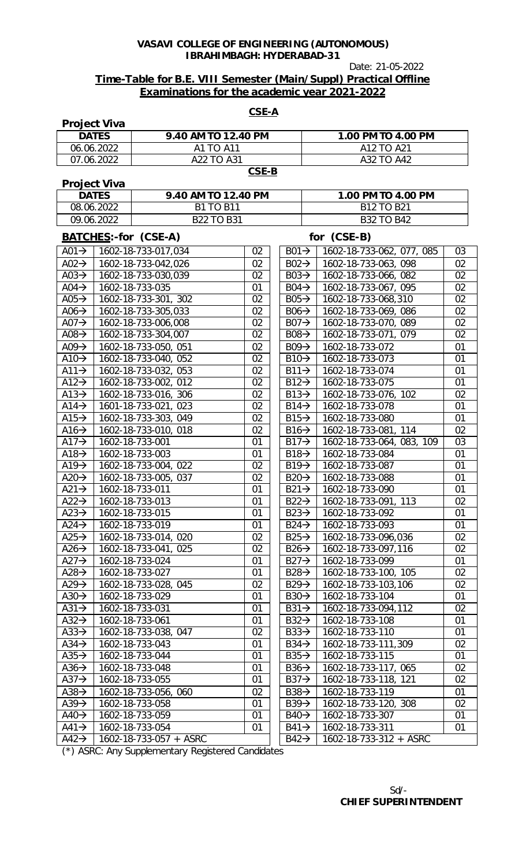Date: 21-05-2022

## **Time-Table for B.E. VIII Semester (Main/Suppl) Practical Offline Examinations for the academic year 2021-2022**

| <b>CSE-A</b>                           |                     |                                         |          |                                       |            |                                                         |          |
|----------------------------------------|---------------------|-----------------------------------------|----------|---------------------------------------|------------|---------------------------------------------------------|----------|
|                                        | <b>Project Viva</b> |                                         |          |                                       |            |                                                         |          |
|                                        | <b>DATES</b>        | 9.40 AM TO 12.40 PM                     |          |                                       |            | 1.00 PM TO 4.00 PM                                      |          |
|                                        | 06.06.2022          | A1 TO A11                               |          |                                       | A12 TO A21 |                                                         |          |
|                                        | 07.06.2022          | A22 TO A31                              |          |                                       |            | A32 TO A42                                              |          |
|                                        |                     |                                         | $CSE-B$  |                                       |            |                                                         |          |
|                                        | <b>Project Viva</b> |                                         |          |                                       |            |                                                         |          |
|                                        | <b>DATES</b>        | 9.40 AM TO 12.40 PM                     |          |                                       |            | 1.00 PM TO 4.00 PM                                      |          |
|                                        | 08.06.2022          | <b>B1 TO B11</b>                        |          |                                       |            | B12 TO B21                                              |          |
|                                        | 09.06.2022          | <b>B22 TO B31</b>                       |          |                                       |            | <b>B32 TO B42</b>                                       |          |
|                                        |                     | BATCHES:-for (CSE-A)                    |          |                                       |            | for (CSE-B)                                             |          |
|                                        |                     | A01 $\rightarrow$   1602-18-733-017,034 | 02       |                                       |            | $\overline{B01 \rightarrow 1602}$ -18-733-062, 077, 085 | 03       |
| $A02 \rightarrow$                      |                     | 1602-18-733-042,026                     | 02       |                                       |            | $B02 \rightarrow 1602 - 18 - 733 - 063$ , 098           | 02       |
| $A03 \rightarrow$                      |                     | 1602-18-733-030,039                     | 02       | $B03 \rightarrow$                     |            | 1602-18-733-066, 082                                    | 02       |
| $A04 \rightarrow$                      |                     | 1602-18-733-035                         | 01       | $B04 \rightarrow$                     |            | 1602-18-733-067, 095                                    | 02       |
| A05 $\rightarrow$                      |                     | 1602-18-733-301, 302                    | 02       | $B05 \rightarrow$                     |            | 1602-18-733-068,310                                     | 02       |
| A06 $\rightarrow$                      |                     | 1602-18-733-305,033                     | 02       | $B06 \rightarrow$                     |            | 1602-18-733-069, 086                                    | 02       |
| A07 $\rightarrow$                      |                     | 1602-18-733-006,008                     | 02       | $BO7 \rightarrow$                     |            | 1602-18-733-070, 089                                    | 02       |
| A08 $\rightarrow$                      |                     | 1602-18-733-304,007                     | 02       | $B08 \rightarrow$                     |            | 1602-18-733-071, 079                                    | 02       |
| A09 $\rightarrow$                      |                     | 1602-18-733-050, 051                    | 02       | $B09 \rightarrow$                     |            | 1602-18-733-072                                         | 01       |
| A10 $\rightarrow$                      |                     | 1602-18-733-040, 052                    | 02       | $B10 \rightarrow$                     |            | 1602-18-733-073                                         | 01       |
| A11 $\rightarrow$                      |                     | 1602-18-733-032, 053                    | 02       | $B11 \rightarrow$                     |            | 1602-18-733-074                                         | 01       |
| A12 $\rightarrow$                      |                     | 1602-18-733-002, 012                    | 02       | $B12 \rightarrow$                     |            | 1602-18-733-075                                         | 01       |
| A13 $\rightarrow$                      |                     | 1602-18-733-016, 306                    | 02       | $B13 \rightarrow$                     |            | 1602-18-733-076, 102                                    | 02       |
| A14 $\rightarrow$                      |                     | 1601-18-733-021, 023                    | 02       | $B14 \rightarrow$                     |            | 1602-18-733-078                                         | 01       |
| $A15 \rightarrow$                      |                     | 1602-18-733-303, 049                    | 02       | $B15 \rightarrow$                     |            | 1602-18-733-080                                         | 01       |
| A16 $\rightarrow$                      |                     | 1602-18-733-010, 018                    | 02       | $B16 \rightarrow$                     |            | 1602-18-733-081, 114                                    | 02       |
| A17 $\rightarrow$                      |                     | 1602-18-733-001                         | 01       | $B17 \rightarrow$                     |            | 1602-18-733-064, 083, 109                               | 03       |
| A18 $\rightarrow$                      |                     | 1602-18-733-003                         | 01       | $B18 \rightarrow$                     |            | 1602-18-733-084                                         | 01       |
| A19 $\rightarrow$                      |                     | 1602-18-733-004, 022                    | 02       | $B19 \rightarrow$                     |            | 1602-18-733-087                                         | 01       |
| A20 $\rightarrow$                      |                     | 1602-18-733-005, 037                    | 02       | $B20 \rightarrow$                     |            | 1602-18-733-088                                         | 01       |
| A21 $\rightarrow$                      |                     | 1602-18-733-011                         | 01       | $B21 \rightarrow$                     |            | 1602-18-733-090                                         | 01       |
| A22 $\rightarrow$                      |                     | 1602-18-733-013                         | 01       | $B22 \rightarrow$                     |            | 1602-18-733-091, 113                                    | 02       |
| A23 $\rightarrow$                      |                     | 1602-18-733-015                         | 01       | $B23\rightarrow$                      |            | 1602-18-733-092                                         | 01       |
| $A24 \rightarrow$                      |                     | 1602-18-733-019                         | 01       | $B24 \rightarrow$                     |            | 1602-18-733-093                                         | 01       |
| A25 $\rightarrow$                      |                     | 1602-18-733-014, 020                    | 02       | $B25 \rightarrow$                     |            | 1602-18-733-096,036                                     | 02       |
| A26 $\rightarrow$                      |                     | 1602-18-733-041, 025                    | 02       | $B26 \rightarrow$                     |            | 1602-18-733-097,116                                     | 02       |
| A27 $\rightarrow$                      |                     | 1602-18-733-024                         | 01       | $B27 \rightarrow$                     |            | 1602-18-733-099                                         | 01       |
| A28 $\rightarrow$                      |                     | 1602-18-733-027                         | 01       | $B28 \rightarrow$                     |            | 1602-18-733-100, 105                                    | 02       |
| $A29 \rightarrow$                      |                     | 1602-18-733-028, 045                    | 02       | $B29 \rightarrow$                     |            | 1602-18-733-103,106                                     | 02       |
| A30 $\rightarrow$                      |                     | 1602-18-733-029                         | 01       | $B30 \rightarrow$                     |            | 1602-18-733-104                                         | 01       |
| $A31 \rightarrow$                      |                     | 1602-18-733-031                         | 01       |                                       |            | 1602-18-733-094,112                                     | 02       |
|                                        |                     |                                         |          | $B31 \rightarrow$                     |            |                                                         |          |
| $A32 \rightarrow$<br>A33 $\rightarrow$ |                     | 1602-18-733-061<br>1602-18-733-038, 047 | 01<br>02 | $B32 \rightarrow$<br>$B33\rightarrow$ |            | 1602-18-733-108<br>1602-18-733-110                      | 01<br>01 |
|                                        |                     |                                         |          |                                       |            |                                                         |          |
| $A34 \rightarrow$                      |                     | 1602-18-733-043                         | 01       | $B34 \rightarrow$                     |            | 1602-18-733-111,309                                     | 02       |
| A35 $\rightarrow$                      |                     | 1602-18-733-044                         | 01       | $B35\rightarrow$                      |            | 1602-18-733-115                                         | 01       |
| A36 $\rightarrow$                      |                     | 1602-18-733-048                         | 01       | $B36 \rightarrow$                     |            | 1602-18-733-117, 065                                    | 02       |
| A37 $\rightarrow$                      |                     | 1602-18-733-055                         | 01       | $B37 \rightarrow$                     |            | 1602-18-733-118, 121                                    | 02       |
| A38 $\rightarrow$                      |                     | 1602-18-733-056, 060                    | 02       | $B38 \rightarrow$                     |            | 1602-18-733-119                                         | 01       |
| A39 $\rightarrow$                      |                     | 1602-18-733-058                         | 01       | $B39 \rightarrow$                     |            | 1602-18-733-120, 308                                    | 02       |
| A40 $\rightarrow$                      |                     | 1602-18-733-059                         | 01       | $B40 \rightarrow$                     |            | 1602-18-733-307                                         | 01       |
| $A41 \rightarrow$                      |                     | 1602-18-733-054                         | 01       | $B41 \rightarrow$                     |            | 1602-18-733-311                                         | 01       |
| $A42 \rightarrow$                      |                     | 1602-18-733-057 + ASRC                  |          | $B42 \rightarrow$                     |            | 1602-18-733-312 + ASRC                                  |          |

(\*) ASRC: Any Supplementary Registered Candidates